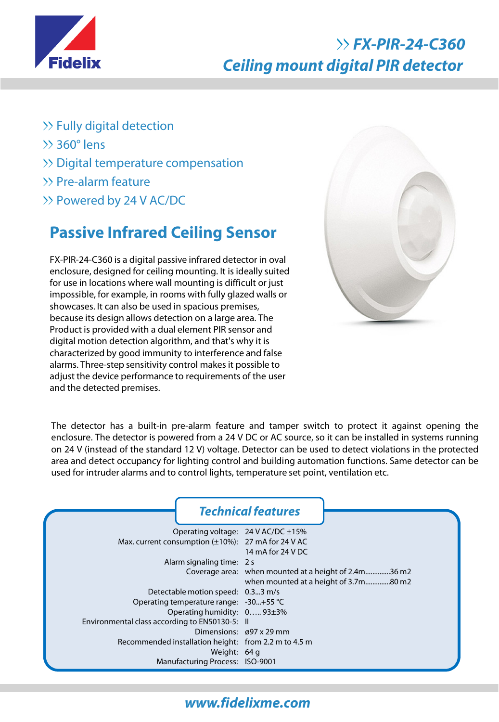

# **FX-PIR-24-C360 Ceiling mount digital PIR detector**

- $\gg$  Fully digital detection
- $\gg$  360 $^{\circ}$  lens
- >> Digital temperature compensation
- >> Pre-alarm feature
- Powered by 24 V AC/DC

# **Passive Infrared Ceiling Sensor**

FX-PIR-24-C360 is a digital passive infrared detector in oval enclosure, designed for ceiling mounting. It is ideally suited for use in locations where wall mounting is difficult or just impossible, for example, in rooms with fully glazed walls or showcases. It can also be used in spacious premises, because its design allows detection on a large area. The Product is provided with a dual element PIR sensor and digital motion detection algorithm, and that's why it is characterized by good immunity to interference and false alarms. Three-step sensitivity control makes it possible to adjust the device performance to requirements of the user and the detected premises.



The detector has a built-in pre-alarm feature and tamper switch to protect it against opening the enclosure. The detector is powered from a 24 V DC or AC source, so it can be installed in systems running on 24 V (instead of the standard 12 V) voltage. Detector can be used to detect violations in the protected area and detect occupancy for lighting control and building automation functions. Same detector can be used for intruder alarms and to control lights, temperature set point, ventilation etc.

|                                                      | <b>Technical features</b>                            |
|------------------------------------------------------|------------------------------------------------------|
| Operating voltage: $24$ V AC/DC $\pm 15\%$           |                                                      |
| Max. current consumption (±10%): 27 mA for 24 V AC   |                                                      |
|                                                      | 14 mA for 24 V DC                                    |
| Alarm signaling time: 2 s                            |                                                      |
|                                                      | Coverage area: when mounted at a height of 2.4m36 m2 |
|                                                      | when mounted at a height of 3.7m80 m2                |
| Detectable motion speed: 0.33 m/s                    |                                                      |
| Operating temperature range: -30+55 °C               |                                                      |
| Operating humidity: 0 93±3%                          |                                                      |
| Environmental class according to EN50130-5: II       |                                                      |
|                                                      | Dimensions: $\varnothing$ 97 x 29 mm                 |
| Recommended installation height: from 2.2 m to 4.5 m |                                                      |
| Weight: 64 g                                         |                                                      |
| Manufacturing Process: ISO-9001                      |                                                      |

### **www.fidelixme.com**